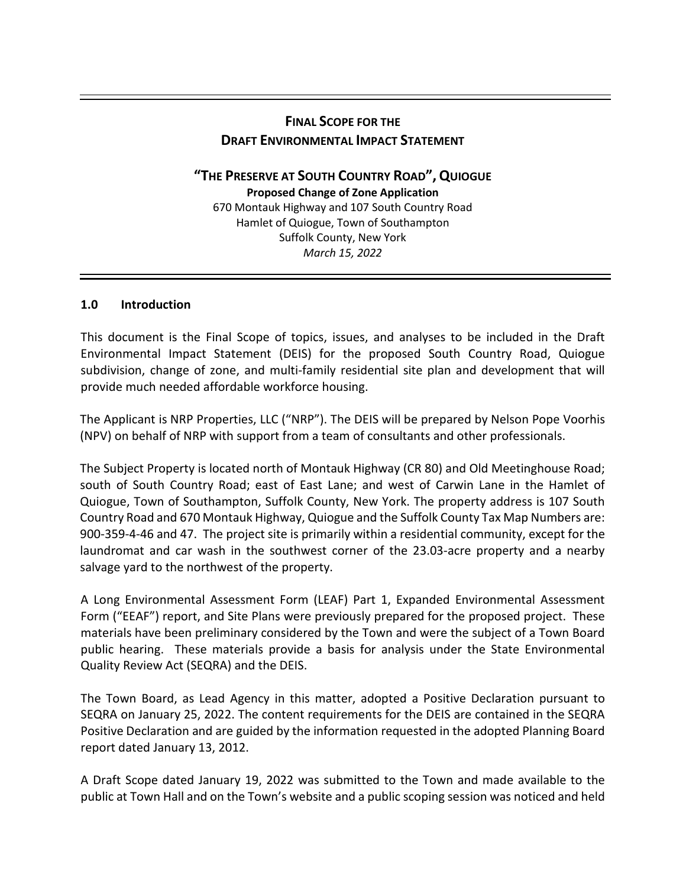# **FINAL SCOPE FOR THE DRAFT ENVIRONMENTAL IMPACT STATEMENT**

**"THE PRESERVE AT SOUTH COUNTRY ROAD",QUIOGUE Proposed Change of Zone Application** 670 Montauk Highway and 107 South Country Road Hamlet of Quiogue, Town of Southampton Suffolk County, New York *March 15, 2022*

### **1.0 Introduction**

This document is the Final Scope of topics, issues, and analyses to be included in the Draft Environmental Impact Statement (DEIS) for the proposed South Country Road, Quiogue subdivision, change of zone, and multi-family residential site plan and development that will provide much needed affordable workforce housing.

The Applicant is NRP Properties, LLC ("NRP"). The DEIS will be prepared by Nelson Pope Voorhis (NPV) on behalf of NRP with support from a team of consultants and other professionals.

The Subject Property is located north of Montauk Highway (CR 80) and Old Meetinghouse Road; south of South Country Road; east of East Lane; and west of Carwin Lane in the Hamlet of Quiogue, Town of Southampton, Suffolk County, New York. The property address is 107 South Country Road and 670 Montauk Highway, Quiogue and the Suffolk County Tax Map Numbers are: 900-359-4-46 and 47. The project site is primarily within a residential community, except for the laundromat and car wash in the southwest corner of the 23.03-acre property and a nearby salvage yard to the northwest of the property.

A Long Environmental Assessment Form (LEAF) Part 1, Expanded Environmental Assessment Form ("EEAF") report, and Site Plans were previously prepared for the proposed project. These materials have been preliminary considered by the Town and were the subject of a Town Board public hearing. These materials provide a basis for analysis under the State Environmental Quality Review Act (SEQRA) and the DEIS.

The Town Board, as Lead Agency in this matter, adopted a Positive Declaration pursuant to SEQRA on January 25, 2022. The content requirements for the DEIS are contained in the SEQRA Positive Declaration and are guided by the information requested in the adopted Planning Board report dated January 13, 2012.

A Draft Scope dated January 19, 2022 was submitted to the Town and made available to the public at Town Hall and on the Town's website and a public scoping session was noticed and held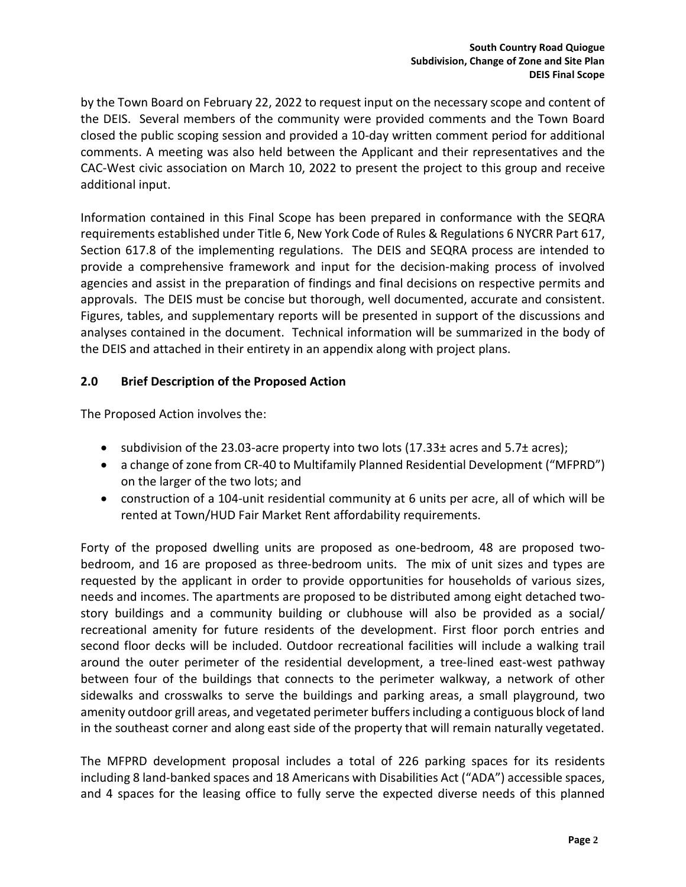by the Town Board on February 22, 2022 to request input on the necessary scope and content of the DEIS. Several members of the community were provided comments and the Town Board closed the public scoping session and provided a 10-day written comment period for additional comments. A meeting was also held between the Applicant and their representatives and the CAC-West civic association on March 10, 2022 to present the project to this group and receive additional input.

Information contained in this Final Scope has been prepared in conformance with the SEQRA requirements established under Title 6, New York Code of Rules & Regulations 6 NYCRR Part 617, Section 617.8 of the implementing regulations. The DEIS and SEQRA process are intended to provide a comprehensive framework and input for the decision-making process of involved agencies and assist in the preparation of findings and final decisions on respective permits and approvals. The DEIS must be concise but thorough, well documented, accurate and consistent. Figures, tables, and supplementary reports will be presented in support of the discussions and analyses contained in the document. Technical information will be summarized in the body of the DEIS and attached in their entirety in an appendix along with project plans.

### **2.0 Brief Description of the Proposed Action**

The Proposed Action involves the:

- subdivision of the 23.03-acre property into two lots (17.33± acres and 5.7± acres);
- a change of zone from CR-40 to Multifamily Planned Residential Development ("MFPRD") on the larger of the two lots; and
- construction of a 104-unit residential community at 6 units per acre, all of which will be rented at Town/HUD Fair Market Rent affordability requirements.

Forty of the proposed dwelling units are proposed as one-bedroom, 48 are proposed twobedroom, and 16 are proposed as three-bedroom units. The mix of unit sizes and types are requested by the applicant in order to provide opportunities for households of various sizes, needs and incomes. The apartments are proposed to be distributed among eight detached twostory buildings and a community building or clubhouse will also be provided as a social/ recreational amenity for future residents of the development. First floor porch entries and second floor decks will be included. Outdoor recreational facilities will include a walking trail around the outer perimeter of the residential development, a tree-lined east-west pathway between four of the buildings that connects to the perimeter walkway, a network of other sidewalks and crosswalks to serve the buildings and parking areas, a small playground, two amenity outdoor grill areas, and vegetated perimeter buffers including a contiguous block of land in the southeast corner and along east side of the property that will remain naturally vegetated.

The MFPRD development proposal includes a total of 226 parking spaces for its residents including 8 land-banked spaces and 18 Americans with Disabilities Act ("ADA") accessible spaces, and 4 spaces for the leasing office to fully serve the expected diverse needs of this planned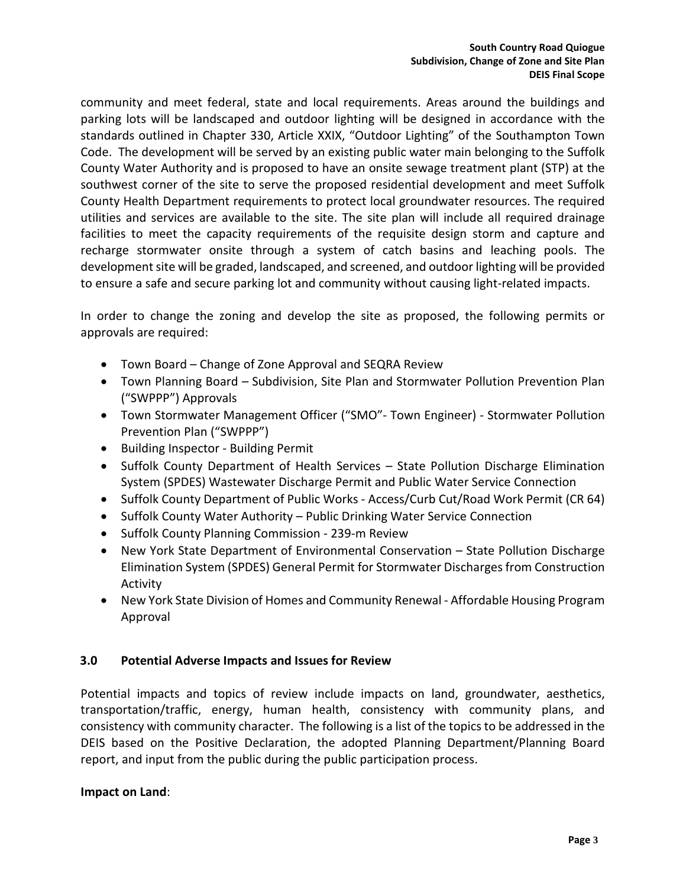community and meet federal, state and local requirements. Areas around the buildings and parking lots will be landscaped and outdoor lighting will be designed in accordance with the standards outlined in Chapter 330, Article XXIX, "Outdoor Lighting" of the Southampton Town Code. The development will be served by an existing public water main belonging to the Suffolk County Water Authority and is proposed to have an onsite sewage treatment plant (STP) at the southwest corner of the site to serve the proposed residential development and meet Suffolk County Health Department requirements to protect local groundwater resources. The required utilities and services are available to the site. The site plan will include all required drainage facilities to meet the capacity requirements of the requisite design storm and capture and recharge stormwater onsite through a system of catch basins and leaching pools. The development site will be graded, landscaped, and screened, and outdoor lighting will be provided to ensure a safe and secure parking lot and community without causing light-related impacts.

In order to change the zoning and develop the site as proposed, the following permits or approvals are required:

- Town Board Change of Zone Approval and SEQRA Review
- Town Planning Board Subdivision, Site Plan and Stormwater Pollution Prevention Plan ("SWPPP") Approvals
- Town Stormwater Management Officer ("SMO"- Town Engineer) Stormwater Pollution Prevention Plan ("SWPPP")
- Building Inspector Building Permit
- Suffolk County Department of Health Services State Pollution Discharge Elimination System (SPDES) Wastewater Discharge Permit and Public Water Service Connection
- Suffolk County Department of Public Works Access/Curb Cut/Road Work Permit (CR 64)
- Suffolk County Water Authority Public Drinking Water Service Connection
- Suffolk County Planning Commission 239-m Review
- New York State Department of Environmental Conservation State Pollution Discharge Elimination System (SPDES) General Permit for Stormwater Discharges from Construction Activity
- New York State Division of Homes and Community Renewal Affordable Housing Program Approval

# **3.0 Potential Adverse Impacts and Issues for Review**

Potential impacts and topics of review include impacts on land, groundwater, aesthetics, transportation/traffic, energy, human health, consistency with community plans, and consistency with community character. The following is a list of the topics to be addressed in the DEIS based on the Positive Declaration, the adopted Planning Department/Planning Board report, and input from the public during the public participation process.

### **Impact on Land**: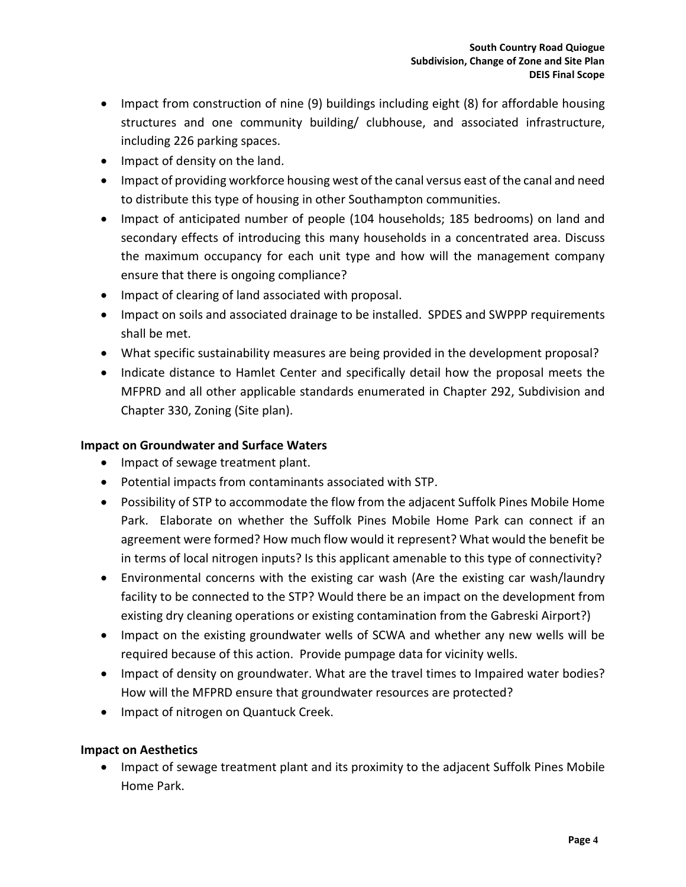- Impact from construction of nine (9) buildings including eight (8) for affordable housing structures and one community building/ clubhouse, and associated infrastructure, including 226 parking spaces.
- Impact of density on the land.
- Impact of providing workforce housing west of the canal versus east of the canal and need to distribute this type of housing in other Southampton communities.
- Impact of anticipated number of people (104 households; 185 bedrooms) on land and secondary effects of introducing this many households in a concentrated area. Discuss the maximum occupancy for each unit type and how will the management company ensure that there is ongoing compliance?
- Impact of clearing of land associated with proposal.
- Impact on soils and associated drainage to be installed. SPDES and SWPPP requirements shall be met.
- What specific sustainability measures are being provided in the development proposal?
- Indicate distance to Hamlet Center and specifically detail how the proposal meets the MFPRD and all other applicable standards enumerated in Chapter 292, Subdivision and Chapter 330, Zoning (Site plan).

### **Impact on Groundwater and Surface Waters**

- Impact of sewage treatment plant.
- Potential impacts from contaminants associated with STP.
- Possibility of STP to accommodate the flow from the adjacent Suffolk Pines Mobile Home Park. Elaborate on whether the Suffolk Pines Mobile Home Park can connect if an agreement were formed? How much flow would it represent? What would the benefit be in terms of local nitrogen inputs? Is this applicant amenable to this type of connectivity?
- Environmental concerns with the existing car wash (Are the existing car wash/laundry facility to be connected to the STP? Would there be an impact on the development from existing dry cleaning operations or existing contamination from the Gabreski Airport?)
- Impact on the existing groundwater wells of SCWA and whether any new wells will be required because of this action. Provide pumpage data for vicinity wells.
- Impact of density on groundwater. What are the travel times to Impaired water bodies? How will the MFPRD ensure that groundwater resources are protected?
- Impact of nitrogen on Quantuck Creek.

### **Impact on Aesthetics**

• Impact of sewage treatment plant and its proximity to the adjacent Suffolk Pines Mobile Home Park.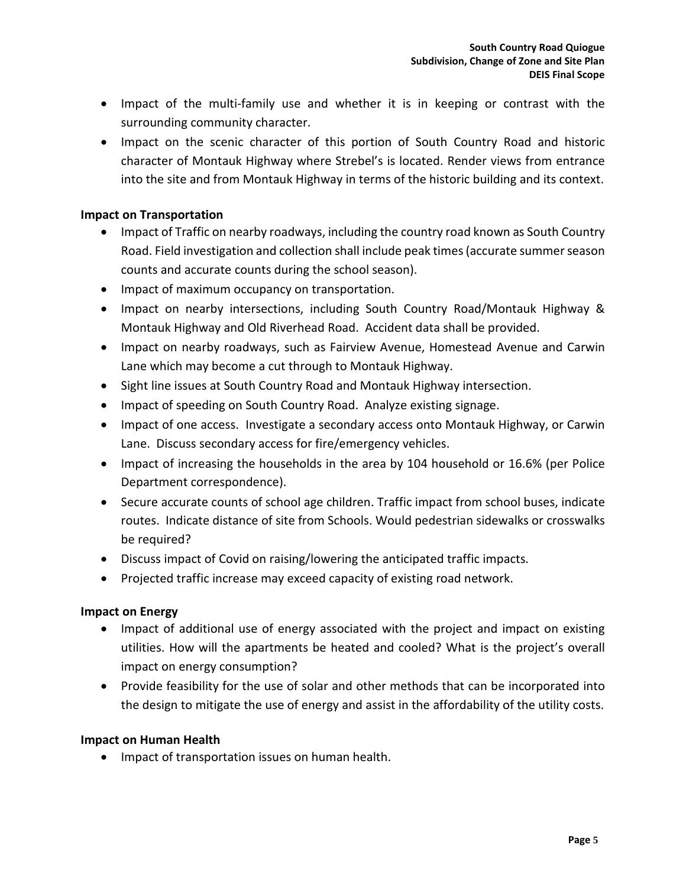- Impact of the multi-family use and whether it is in keeping or contrast with the surrounding community character.
- Impact on the scenic character of this portion of South Country Road and historic character of Montauk Highway where Strebel's is located. Render views from entrance into the site and from Montauk Highway in terms of the historic building and its context.

### **Impact on Transportation**

- Impact of Traffic on nearby roadways, including the country road known as South Country Road. Field investigation and collection shall include peak times (accurate summer season counts and accurate counts during the school season).
- Impact of maximum occupancy on transportation.
- Impact on nearby intersections, including South Country Road/Montauk Highway & Montauk Highway and Old Riverhead Road. Accident data shall be provided.
- Impact on nearby roadways, such as Fairview Avenue, Homestead Avenue and Carwin Lane which may become a cut through to Montauk Highway.
- Sight line issues at South Country Road and Montauk Highway intersection.
- Impact of speeding on South Country Road. Analyze existing signage.
- Impact of one access. Investigate a secondary access onto Montauk Highway, or Carwin Lane. Discuss secondary access for fire/emergency vehicles.
- Impact of increasing the households in the area by 104 household or 16.6% (per Police Department correspondence).
- Secure accurate counts of school age children. Traffic impact from school buses, indicate routes. Indicate distance of site from Schools. Would pedestrian sidewalks or crosswalks be required?
- Discuss impact of Covid on raising/lowering the anticipated traffic impacts.
- Projected traffic increase may exceed capacity of existing road network.

#### **Impact on Energy**

- Impact of additional use of energy associated with the project and impact on existing utilities. How will the apartments be heated and cooled? What is the project's overall impact on energy consumption?
- Provide feasibility for the use of solar and other methods that can be incorporated into the design to mitigate the use of energy and assist in the affordability of the utility costs.

#### **Impact on Human Health**

• Impact of transportation issues on human health.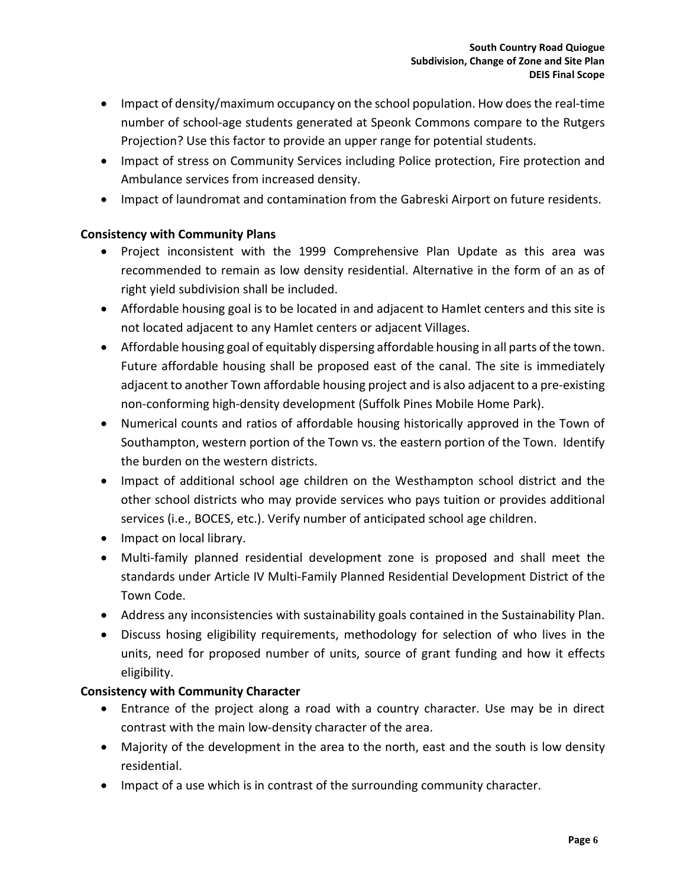- Impact of density/maximum occupancy on the school population. How does the real-time number of school-age students generated at Speonk Commons compare to the Rutgers Projection? Use this factor to provide an upper range for potential students.
- Impact of stress on Community Services including Police protection, Fire protection and Ambulance services from increased density.
- Impact of laundromat and contamination from the Gabreski Airport on future residents.

# **Consistency with Community Plans**

- Project inconsistent with the 1999 Comprehensive Plan Update as this area was recommended to remain as low density residential. Alternative in the form of an as of right yield subdivision shall be included.
- Affordable housing goal is to be located in and adjacent to Hamlet centers and this site is not located adjacent to any Hamlet centers or adjacent Villages.
- Affordable housing goal of equitably dispersing affordable housing in all parts of the town. Future affordable housing shall be proposed east of the canal. The site is immediately adjacent to another Town affordable housing project and is also adjacent to a pre-existing non-conforming high-density development (Suffolk Pines Mobile Home Park).
- Numerical counts and ratios of affordable housing historically approved in the Town of Southampton, western portion of the Town vs. the eastern portion of the Town. Identify the burden on the western districts.
- Impact of additional school age children on the Westhampton school district and the other school districts who may provide services who pays tuition or provides additional services (i.e., BOCES, etc.). Verify number of anticipated school age children.
- Impact on local library.
- Multi-family planned residential development zone is proposed and shall meet the standards under Article IV Multi-Family Planned Residential Development District of the Town Code.
- Address any inconsistencies with sustainability goals contained in the Sustainability Plan.
- Discuss hosing eligibility requirements, methodology for selection of who lives in the units, need for proposed number of units, source of grant funding and how it effects eligibility.

# **Consistency with Community Character**

- Entrance of the project along a road with a country character. Use may be in direct contrast with the main low-density character of the area.
- Majority of the development in the area to the north, east and the south is low density residential.
- Impact of a use which is in contrast of the surrounding community character.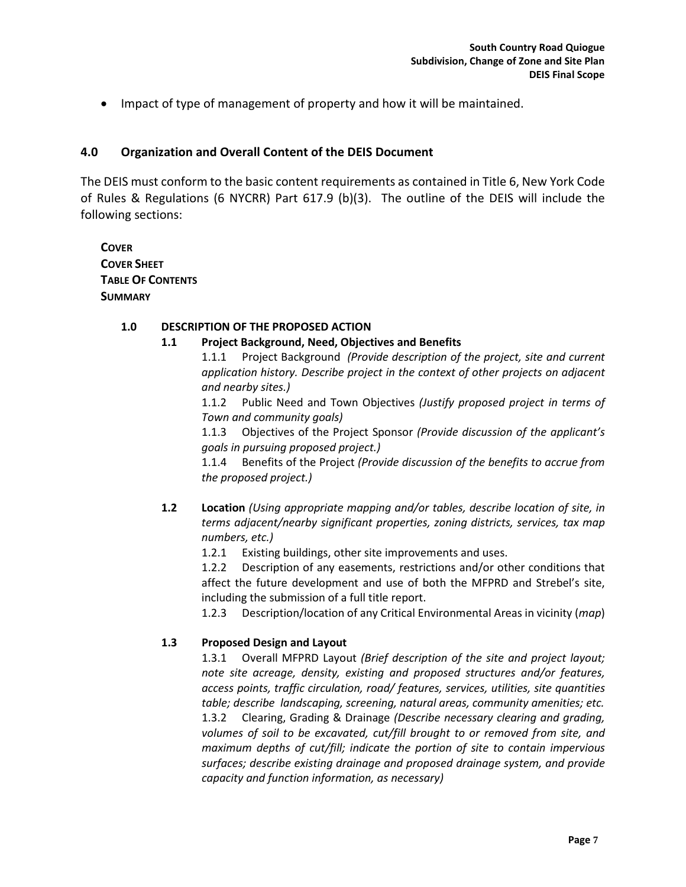• Impact of type of management of property and how it will be maintained.

### **4.0 Organization and Overall Content of the DEIS Document**

The DEIS must conform to the basic content requirements as contained in Title 6, New York Code of Rules & Regulations (6 NYCRR) Part 617.9 (b)(3). The outline of the DEIS will include the following sections:

**COVER COVER SHEET TABLE OF CONTENTS SUMMARY**

#### **1.0 DESCRIPTION OF THE PROPOSED ACTION**

### **1.1 Project Background, Need, Objectives and Benefits**

1.1.1 Project Background *(Provide description of the project, site and current application history. Describe project in the context of other projects on adjacent and nearby sites.)*

1.1.2 Public Need and Town Objectives *(Justify proposed project in terms of Town and community goals)*

1.1.3 Objectives of the Project Sponsor *(Provide discussion of the applicant's goals in pursuing proposed project.)*

1.1.4 Benefits of the Project *(Provide discussion of the benefits to accrue from the proposed project.)*

**1.2 Location** *(Using appropriate mapping and/or tables, describe location of site, in terms adjacent/nearby significant properties, zoning districts, services, tax map numbers, etc.)*

1.2.1 Existing buildings, other site improvements and uses.

1.2.2 Description of any easements, restrictions and/or other conditions that affect the future development and use of both the MFPRD and Strebel's site, including the submission of a full title report.

1.2.3 Description/location of any Critical Environmental Areas in vicinity (*map*)

### **1.3 Proposed Design and Layout**

1.3.1 Overall MFPRD Layout *(Brief description of the site and project layout; note site acreage, density, existing and proposed structures and/or features, access points, traffic circulation, road/ features, services, utilities, site quantities table; describe landscaping, screening, natural areas, community amenities; etc.* 1.3.2 Clearing, Grading & Drainage *(Describe necessary clearing and grading, volumes of soil to be excavated, cut/fill brought to or removed from site, and maximum depths of cut/fill; indicate the portion of site to contain impervious surfaces; describe existing drainage and proposed drainage system, and provide capacity and function information, as necessary)*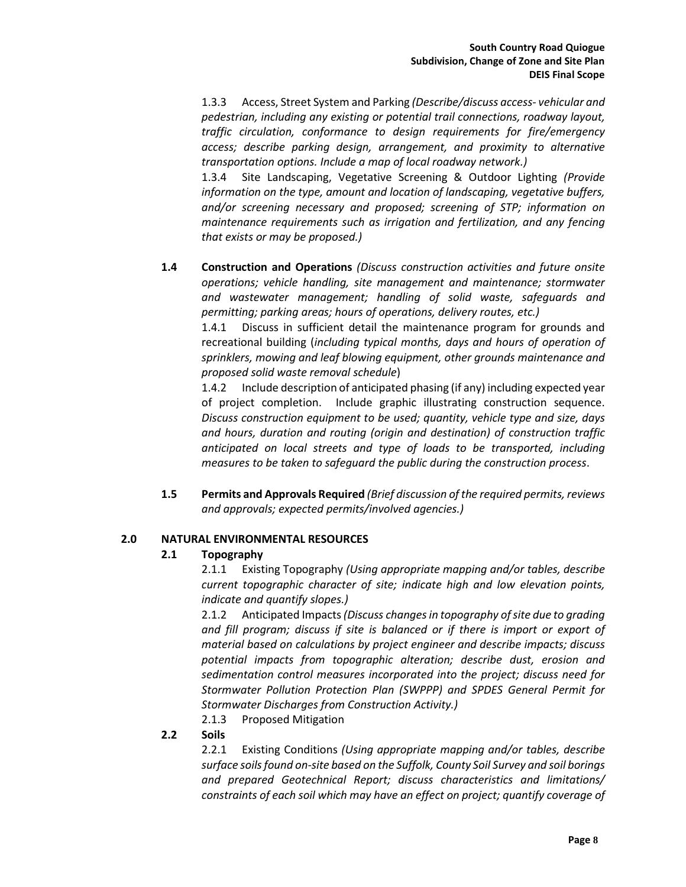1.3.3 Access, Street System and Parking *(Describe/discuss access- vehicular and pedestrian, including any existing or potential trail connections, roadway layout, traffic circulation, conformance to design requirements for fire/emergency access; describe parking design, arrangement, and proximity to alternative transportation options. Include a map of local roadway network.)*

1.3.4 Site Landscaping, Vegetative Screening & Outdoor Lighting *(Provide information on the type, amount and location of landscaping, vegetative buffers, and/or screening necessary and proposed; screening of STP; information on maintenance requirements such as irrigation and fertilization, and any fencing that exists or may be proposed.)*

**1.4 Construction and Operations** *(Discuss construction activities and future onsite operations; vehicle handling, site management and maintenance; stormwater and wastewater management; handling of solid waste, safeguards and permitting; parking areas; hours of operations, delivery routes, etc.)*

1.4.1 Discuss in sufficient detail the maintenance program for grounds and recreational building (*including typical months, days and hours of operation of sprinklers, mowing and leaf blowing equipment, other grounds maintenance and proposed solid waste removal schedule*)

1.4.2 Include description of anticipated phasing (if any) including expected year of project completion. Include graphic illustrating construction sequence. *Discuss construction equipment to be used; quantity, vehicle type and size, days and hours, duration and routing (origin and destination) of construction traffic anticipated on local streets and type of loads to be transported, including measures to be taken to safeguard the public during the construction process*.

**1.5 Permits and Approvals Required** *(Brief discussion of the required permits, reviews and approvals; expected permits/involved agencies.)*

#### **2.0 NATURAL ENVIRONMENTAL RESOURCES**

#### **2.1 Topography**

2.1.1 Existing Topography *(Using appropriate mapping and/or tables, describe current topographic character of site; indicate high and low elevation points, indicate and quantify slopes.)*

2.1.2 Anticipated Impacts*(Discuss changes in topography of site due to grading and fill program; discuss if site is balanced or if there is import or export of material based on calculations by project engineer and describe impacts; discuss potential impacts from topographic alteration; describe dust, erosion and sedimentation control measures incorporated into the project; discuss need for Stormwater Pollution Protection Plan (SWPPP) and SPDES General Permit for Stormwater Discharges from Construction Activity.)*

2.1.3 Proposed Mitigation

#### **2.2 Soils**

2.2.1 Existing Conditions *(Using appropriate mapping and/or tables, describe surface soils found on-site based on the Suffolk, County Soil Survey and soil borings and prepared Geotechnical Report; discuss characteristics and limitations/ constraints of each soil which may have an effect on project; quantify coverage of*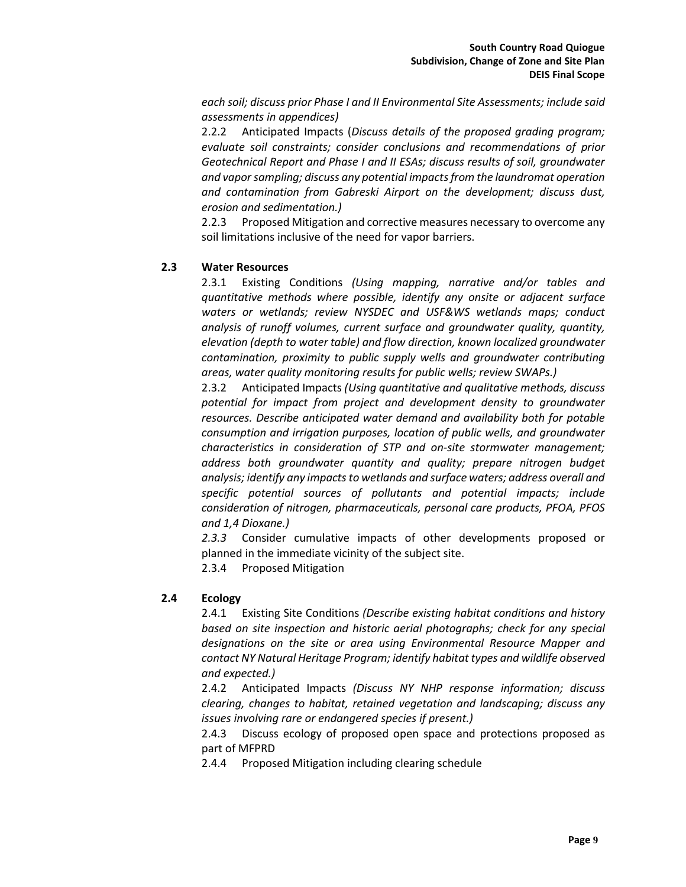*each soil; discuss prior Phase I and II Environmental Site Assessments; include said assessments in appendices)*

2.2.2 Anticipated Impacts (*Discuss details of the proposed grading program; evaluate soil constraints; consider conclusions and recommendations of prior Geotechnical Report and Phase I and II ESAs; discuss results of soil, groundwater and vapor sampling; discuss any potential impacts from the laundromat operation and contamination from Gabreski Airport on the development; discuss dust, erosion and sedimentation.)*

2.2.3 Proposed Mitigation and corrective measures necessary to overcome any soil limitations inclusive of the need for vapor barriers.

#### **2.3 Water Resources**

2.3.1 Existing Conditions *(Using mapping, narrative and/or tables and quantitative methods where possible, identify any onsite or adjacent surface waters or wetlands; review NYSDEC and USF&WS wetlands maps; conduct analysis of runoff volumes, current surface and groundwater quality, quantity, elevation (depth to water table) and flow direction, known localized groundwater contamination, proximity to public supply wells and groundwater contributing areas, water quality monitoring results for public wells; review SWAPs.)*

2.3.2 Anticipated Impacts *(Using quantitative and qualitative methods, discuss potential for impact from project and development density to groundwater resources. Describe anticipated water demand and availability both for potable consumption and irrigation purposes, location of public wells, and groundwater characteristics in consideration of STP and on-site stormwater management; address both groundwater quantity and quality; prepare nitrogen budget analysis; identify any impacts to wetlands and surface waters; address overall and specific potential sources of pollutants and potential impacts; include consideration of nitrogen, pharmaceuticals, personal care products, PFOA, PFOS and 1,4 Dioxane.)*

*2.3.3* Consider cumulative impacts of other developments proposed or planned in the immediate vicinity of the subject site.

2.3.4 Proposed Mitigation

#### **2.4 Ecology**

2.4.1 Existing Site Conditions *(Describe existing habitat conditions and history based on site inspection and historic aerial photographs; check for any special designations on the site or area using Environmental Resource Mapper and contact NY Natural Heritage Program; identify habitat types and wildlife observed and expected.)*

2.4.2 Anticipated Impacts *(Discuss NY NHP response information; discuss clearing, changes to habitat, retained vegetation and landscaping; discuss any issues involving rare or endangered species if present.)*

2.4.3 Discuss ecology of proposed open space and protections proposed as part of MFPRD

2.4.4 Proposed Mitigation including clearing schedule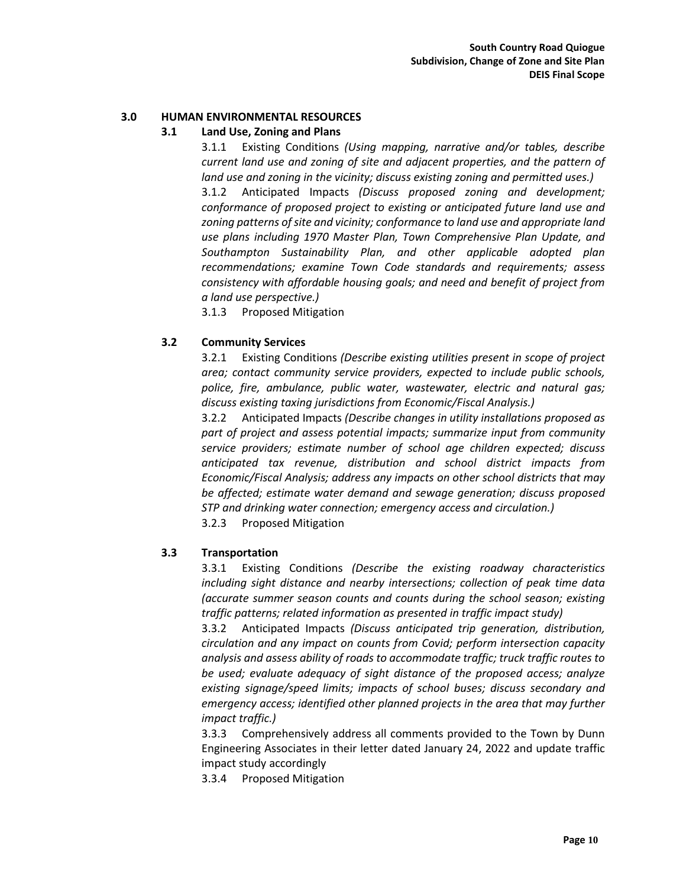#### **3.0 HUMAN ENVIRONMENTAL RESOURCES**

#### **3.1 Land Use, Zoning and Plans**

3.1.1 Existing Conditions *(Using mapping, narrative and/or tables, describe current land use and zoning of site and adjacent properties, and the pattern of land use and zoning in the vicinity; discuss existing zoning and permitted uses.)* 3.1.2 Anticipated Impacts *(Discuss proposed zoning and development; conformance of proposed project to existing or anticipated future land use and*  zoning patterns of site and vicinity; conformance to land use and appropriate land *use plans including 1970 Master Plan, Town Comprehensive Plan Update, and Southampton Sustainability Plan, and other applicable adopted plan recommendations; examine Town Code standards and requirements; assess consistency with affordable housing goals; and need and benefit of project from a land use perspective.)*

3.1.3 Proposed Mitigation

#### **3.2 Community Services**

3.2.1 Existing Conditions *(Describe existing utilities present in scope of project area; contact community service providers, expected to include public schools, police, fire, ambulance, public water, wastewater, electric and natural gas; discuss existing taxing jurisdictions from Economic/Fiscal Analysis.)*

3.2.2 Anticipated Impacts *(Describe changes in utility installations proposed as part of project and assess potential impacts; summarize input from community service providers; estimate number of school age children expected; discuss anticipated tax revenue, distribution and school district impacts from Economic/Fiscal Analysis; address any impacts on other school districts that may be affected; estimate water demand and sewage generation; discuss proposed STP and drinking water connection; emergency access and circulation.)*

3.2.3 Proposed Mitigation

#### **3.3 Transportation**

3.3.1 Existing Conditions *(Describe the existing roadway characteristics including sight distance and nearby intersections; collection of peak time data (accurate summer season counts and counts during the school season; existing traffic patterns; related information as presented in traffic impact study)*

3.3.2 Anticipated Impacts *(Discuss anticipated trip generation, distribution, circulation and any impact on counts from Covid; perform intersection capacity analysis and assess ability of roads to accommodate traffic; truck traffic routes to be used; evaluate adequacy of sight distance of the proposed access; analyze existing signage/speed limits; impacts of school buses; discuss secondary and emergency access; identified other planned projects in the area that may further impact traffic.)*

3.3.3 Comprehensively address all comments provided to the Town by Dunn Engineering Associates in their letter dated January 24, 2022 and update traffic impact study accordingly

3.3.4 Proposed Mitigation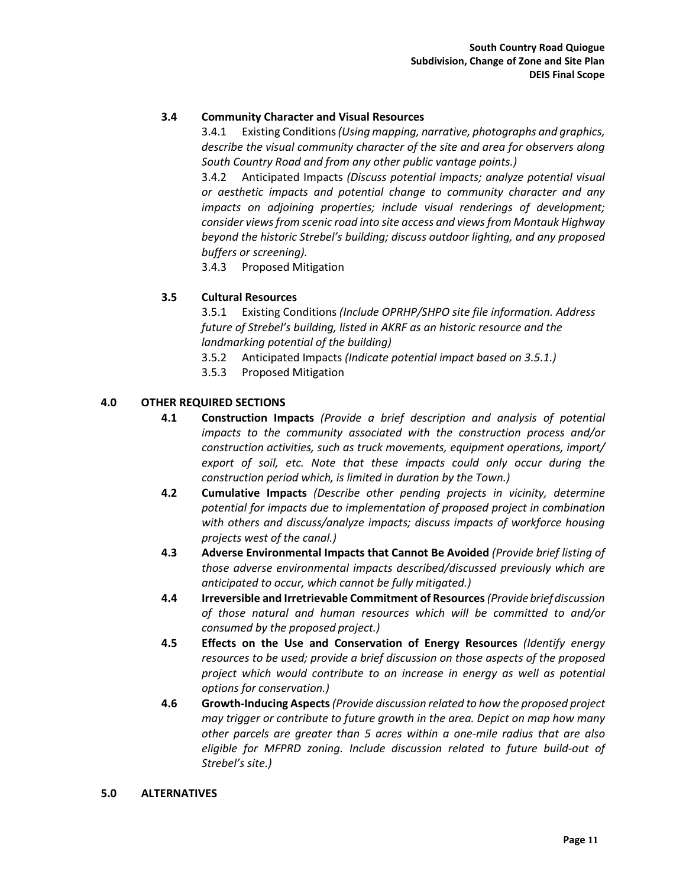### **3.4 Community Character and Visual Resources**

3.4.1 Existing Conditions*(Using mapping, narrative, photographs and graphics, describe the visual community character of the site and area for observers along South Country Road and from any other public vantage points.)*

3.4.2 Anticipated Impacts *(Discuss potential impacts; analyze potential visual or aesthetic impacts and potential change to community character and any impacts on adjoining properties; include visual renderings of development; consider views from scenic road into site access and views from Montauk Highway beyond the historic Strebel's building; discuss outdoor lighting, and any proposed buffers or screening).*

3.4.3 Proposed Mitigation

#### **3.5 Cultural Resources**

3.5.1 Existing Conditions *(Include OPRHP/SHPO site file information. Address future of Strebel's building, listed in AKRF as an historic resource and the landmarking potential of the building)*

- 3.5.2 Anticipated Impacts *(Indicate potential impact based on 3.5.1.)*
- 3.5.3 Proposed Mitigation

### **4.0 OTHER REQUIRED SECTIONS**

- **4.1 Construction Impacts** *(Provide a brief description and analysis of potential impacts to the community associated with the construction process and/or construction activities, such as truck movements, equipment operations, import/ export of soil, etc. Note that these impacts could only occur during the construction period which, is limited in duration by the Town.)*
- **4.2 Cumulative Impacts** *(Describe other pending projects in vicinity, determine potential for impacts due to implementation of proposed project in combination with others and discuss/analyze impacts; discuss impacts of workforce housing projects west of the canal.)*
- **4.3 Adverse Environmental Impacts that Cannot Be Avoided** *(Provide brief listing of those adverse environmental impacts described/discussed previously which are anticipated to occur, which cannot be fully mitigated.)*
- **4.4 Irreversible and Irretrievable Commitment of Resources***(Provide briefdiscussion of those natural and human resources which will be committed to and/or consumed by the proposed project.)*
- **4.5 Effects on the Use and Conservation of Energy Resources** *(Identify energy resources to be used; provide a brief discussion on those aspects of the proposed project which would contribute to an increase in energy as well as potential options for conservation.)*
- **4.6 Growth-Inducing Aspects***(Provide discussion related to how the proposed project may trigger or contribute to future growth in the area. Depict on map how many other parcels are greater than 5 acres within a one-mile radius that are also eligible for MFPRD zoning. Include discussion related to future build-out of Strebel's site.)*

#### **5.0 ALTERNATIVES**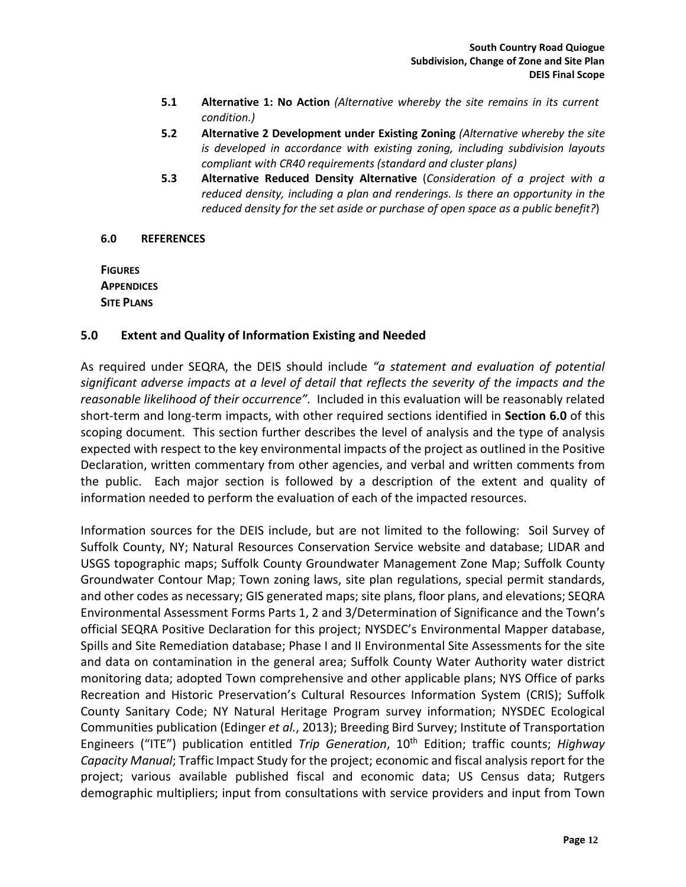- **5.1 Alternative 1: No Action** *(Alternative whereby the site remains in its current condition.)*
- **5.2 Alternative 2 Development under Existing Zoning** *(Alternative whereby the site is developed in accordance with existing zoning, including subdivision layouts compliant with CR40 requirements (standard and cluster plans)*
- **5.3 Alternative Reduced Density Alternative** (*Consideration of a project with a reduced density, including a plan and renderings. Is there an opportunity in the reduced density for the set aside or purchase of open space as a public benefit?*)

### **6.0 REFERENCES**

**FIGURES APPENDICES SITE PLANS**

### **5.0 Extent and Quality of Information Existing and Needed**

As required under SEQRA, the DEIS should include *"a statement and evaluation of potential significant adverse impacts at a level of detail that reflects the severity of the impacts and the reasonable likelihood of their occurrence".* Included in this evaluation will be reasonably related short-term and long-term impacts, with other required sections identified in **Section 6.0** of this scoping document. This section further describes the level of analysis and the type of analysis expected with respect to the key environmental impacts of the project as outlined in the Positive Declaration, written commentary from other agencies, and verbal and written comments from the public. Each major section is followed by a description of the extent and quality of information needed to perform the evaluation of each of the impacted resources.

Information sources for the DEIS include, but are not limited to the following: Soil Survey of Suffolk County, NY; Natural Resources Conservation Service website and database; LIDAR and USGS topographic maps; Suffolk County Groundwater Management Zone Map; Suffolk County Groundwater Contour Map; Town zoning laws, site plan regulations, special permit standards, and other codes as necessary; GIS generated maps; site plans, floor plans, and elevations; SEQRA Environmental Assessment Forms Parts 1, 2 and 3/Determination of Significance and the Town's official SEQRA Positive Declaration for this project; NYSDEC's Environmental Mapper database, Spills and Site Remediation database; Phase I and II Environmental Site Assessments for the site and data on contamination in the general area; Suffolk County Water Authority water district monitoring data; adopted Town comprehensive and other applicable plans; NYS Office of parks Recreation and Historic Preservation's Cultural Resources Information System (CRIS); Suffolk County Sanitary Code; NY Natural Heritage Program survey information; NYSDEC Ecological Communities publication (Edinger *et al.*, 2013); Breeding Bird Survey; Institute of Transportation Engineers ("ITE") publication entitled *Trip Generation*, 10<sup>th</sup> Edition; traffic counts; *Highway Capacity Manual*; Traffic Impact Study for the project; economic and fiscal analysis report for the project; various available published fiscal and economic data; US Census data; Rutgers demographic multipliers; input from consultations with service providers and input from Town